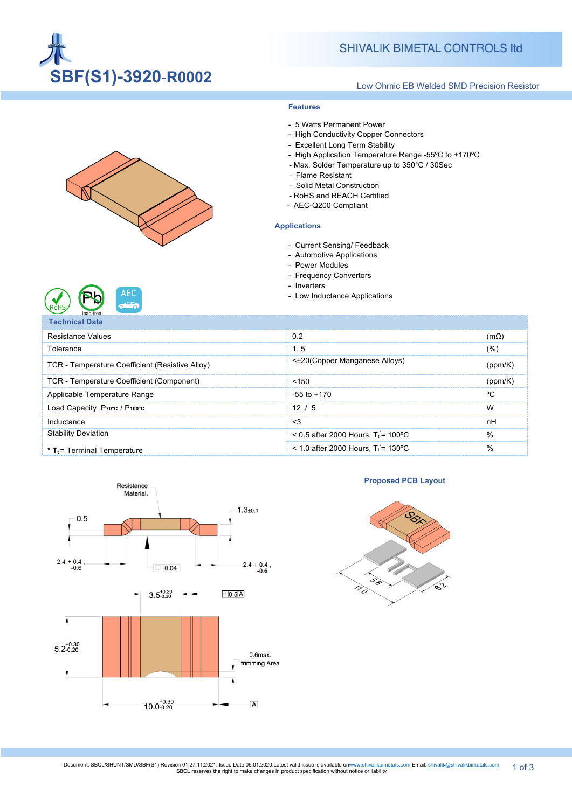

### **SHIVALIK BIMETAL CONTROLS Itd**

### Low Ohmic EB Welded SMD Precision Resistor



AEC

 $\overline{\mathbf{C}}$ 

#### **Features**

- 5 Watts Permanent Power
- High Conductivity Copper Connectors
- Excellent Long Term Stability
- High Application Temperature Range -55ºC to +170ºC
- - Max. Solder Temperature up to 350°C / 30Sec
- Flame Resistant
- Solid Metal Construction
- RoHS and REACH Certified
- AEC-Q200 Compliant

### **Applications**

- Current Sensing/ Feedback
- Automotive Applications
- Power Modules
- Frequency Convertors
- Inverters
- Low Inductance Applications

| <b>Technical Data</b>                           |                                                      |               |
|-------------------------------------------------|------------------------------------------------------|---------------|
| Resistance Values                               | 0.2                                                  |               |
| Tolerance                                       | 1.5                                                  | (%)           |
| TCR - Temperature Coefficient (Resistive Alloy) | < $\pm 20$ (Copper Manganese Alloys)                 | nnm/K         |
| TCR - Temperature Coefficient (Component)       | $<$ 150                                              | nnm/K         |
| Applicable Temperature Range                    | $-55$ to $+170$                                      | $\sim$        |
| Load Capacity Proc / P100°c                     | 12/5                                                 | W             |
| Inductance                                      | <3                                                   | пH            |
| <b>Stability Deviation</b>                      | $0.5$ after 2000 Hours. T <sub>i</sub> = 100 °C      | $\frac{0}{6}$ |
| $*$ T <sub>t</sub> = Terminal Temperature       | $\leq$ 1.0 after 2000 Hours. T <sub>i</sub> = 130 °C |               |



**Proposed PCB Layout** 

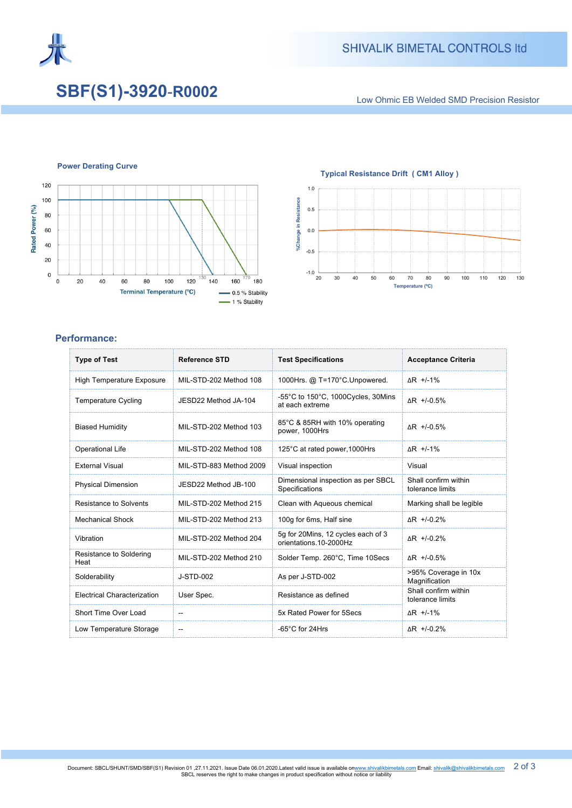

# **SBF(S1)-3920**-**R0002**

Low Ohmic EB Welded SMD Precision Resistor

### **Power Derating Curve**



## **Typical Resistance Drift ( CM1 Alloy )**



### **Performance:**

| <b>Type of Test</b>                | <b>Reference STD</b>    | <b>Test Specifications</b>                                   | <b>Acceptance Criteria</b>               |
|------------------------------------|-------------------------|--------------------------------------------------------------|------------------------------------------|
| <b>High Temperature Exposure</b>   | MIL-STD-202 Method 108  | 1000Hrs. @ T=170°C.Unpowered.                                | ∆R +/-1%                                 |
| <b>Temperature Cycling</b>         | JESD22 Method JA-104    | -55°C to 150°C, 1000Cycles, 30Mins<br>at each extreme        | $\Delta$ R +/-0.5%                       |
| <b>Biased Humidity</b>             | MIL-STD-202 Method 103  | 85°C & 85RH with 10% operating<br>power, 1000Hrs             | $\Delta$ R +/-0.5%                       |
| <b>Operational Life</b>            | MIL-STD-202 Method 108  | 125°C at rated power, 1000Hrs                                | $\Delta$ R +/-1%                         |
| <b>External Visual</b>             | MIL-STD-883 Method 2009 | Visual inspection                                            | Visual                                   |
| <b>Physical Dimension</b>          | JESD22 Method JB-100    | Dimensional inspection as per SBCL<br>Specifications         | Shall confirm within<br>tolerance limits |
| <b>Resistance to Solvents</b>      | MIL-STD-202 Method 215  | Clean with Aqueous chemical                                  | Marking shall be legible                 |
| <b>Mechanical Shock</b>            | MIL-STD-202 Method 213  | 100g for 6ms, Half sine                                      | $\Delta$ R +/-0.2%                       |
| Vibration                          | MIL-STD-202 Method 204  | 5q for 20Mins, 12 cycles each of 3<br>orientations.10-2000Hz | $\Delta$ R +/-0.2%                       |
| Resistance to Soldering<br>Heat    | MIL-STD-202 Method 210  | Solder Temp. 260°C, Time 10Secs                              | $\Delta$ R +/-0.5%                       |
| Solderability                      | <b>J-STD-002</b>        | As per J-STD-002                                             | >95% Coverage in 10x<br>Magnification    |
| <b>Electrical Characterization</b> | User Spec.              | Resistance as defined                                        | Shall confirm within<br>tolerance limits |
| Short Time Over Load               | --                      | 5x Rated Power for 5Secs                                     | $\Delta$ R +/-1%                         |
| Low Temperature Storage            |                         | $-65^{\circ}$ C for 24Hrs                                    | $\Delta$ R +/-0.2%                       |